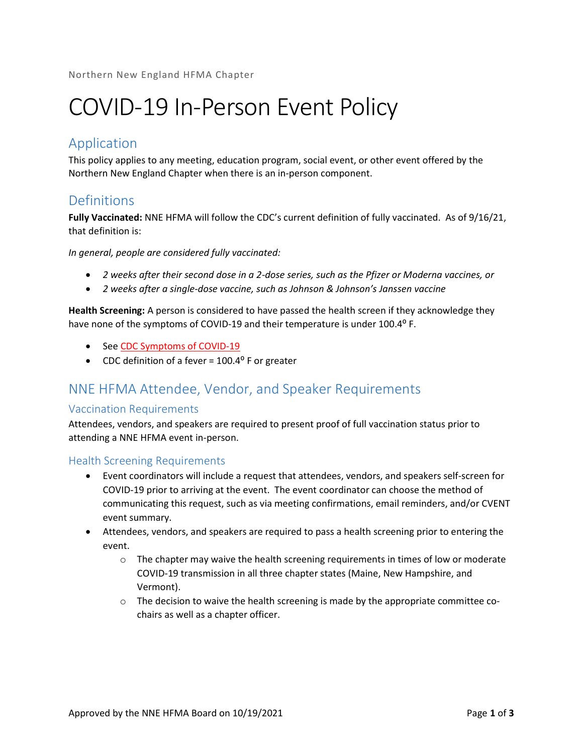# COVID-19 In-Person Event Policy

## Application

This policy applies to any meeting, education program, social event, or other event offered by the Northern New England Chapter when there is an in-person component.

## **Definitions**

Fully Vaccinated: NNE HFMA will follow the CDC's current definition of fully vaccinated. As of 9/16/21, that definition is:

In general, people are considered fully vaccinated:

- 2 weeks after their second dose in a 2-dose series, such as the Pfizer or Moderna vaccines, or
- 2 weeks after a single-dose vaccine, such as Johnson & Johnson's Janssen vaccine

Health Screening: A person is considered to have passed the health screen if they acknowledge they have none of the symptoms of COVID-19 and their temperature is under 100.4° F.

- See CDC Symptoms of COVID-19
- CDC definition of a fever =  $100.4^{\circ}$  F or greater

## NNE HFMA Attendee, Vendor, and Speaker Requirements

#### Vaccination Requirements

Attendees, vendors, and speakers are required to present proof of full vaccination status prior to attending a NNE HFMA event in-person.

Health Screening Requirements

- Event coordinators will include a request that attendees, vendors, and speakers self-screen for COVID-19 prior to arriving at the event. The event coordinator can choose the method of communicating this request, such as via meeting confirmations, email reminders, and/or CVENT event summary.
- Attendees, vendors, and speakers are required to pass a health screening prior to entering the event.
	- $\circ$  The chapter may waive the health screening requirements in times of low or moderate COVID-19 transmission in all three chapter states (Maine, New Hampshire, and Vermont).
	- $\circ$  The decision to waive the health screening is made by the appropriate committee cochairs as well as a chapter officer.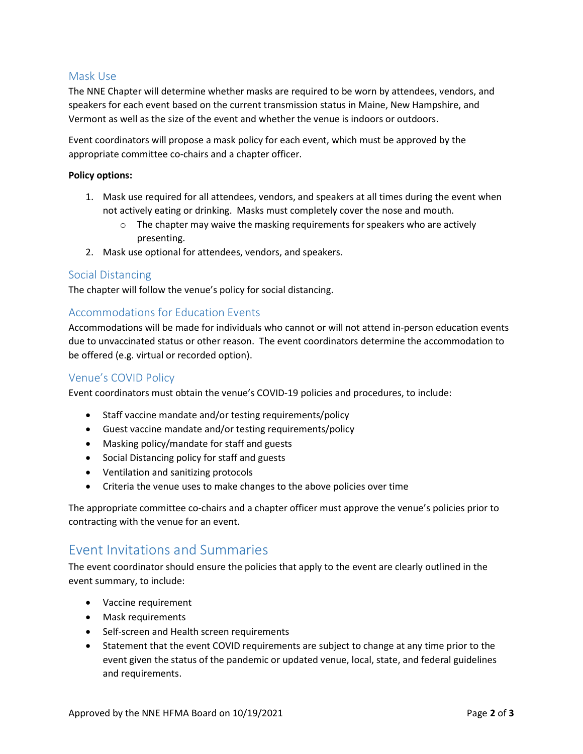#### Mask Use

The NNE Chapter will determine whether masks are required to be worn by attendees, vendors, and speakers for each event based on the current transmission status in Maine, New Hampshire, and Vermont as well as the size of the event and whether the venue is indoors or outdoors.

Event coordinators will propose a mask policy for each event, which must be approved by the appropriate committee co-chairs and a chapter officer.

#### Policy options:

- 1. Mask use required for all attendees, vendors, and speakers at all times during the event when not actively eating or drinking. Masks must completely cover the nose and mouth.
	- o The chapter may waive the masking requirements for speakers who are actively presenting.
- 2. Mask use optional for attendees, vendors, and speakers.

#### Social Distancing

The chapter will follow the venue's policy for social distancing.

#### Accommodations for Education Events

Accommodations will be made for individuals who cannot or will not attend in-person education events due to unvaccinated status or other reason. The event coordinators determine the accommodation to be offered (e.g. virtual or recorded option).

#### Venue's COVID Policy

Event coordinators must obtain the venue's COVID-19 policies and procedures, to include:

- Staff vaccine mandate and/or testing requirements/policy
- Guest vaccine mandate and/or testing requirements/policy
- Masking policy/mandate for staff and guests
- Social Distancing policy for staff and guests
- Ventilation and sanitizing protocols
- Criteria the venue uses to make changes to the above policies over time

The appropriate committee co-chairs and a chapter officer must approve the venue's policies prior to contracting with the venue for an event.

### Event Invitations and Summaries

The event coordinator should ensure the policies that apply to the event are clearly outlined in the event summary, to include:

- Vaccine requirement
- Mask requirements
- Self-screen and Health screen requirements
- Statement that the event COVID requirements are subject to change at any time prior to the event given the status of the pandemic or updated venue, local, state, and federal guidelines and requirements.